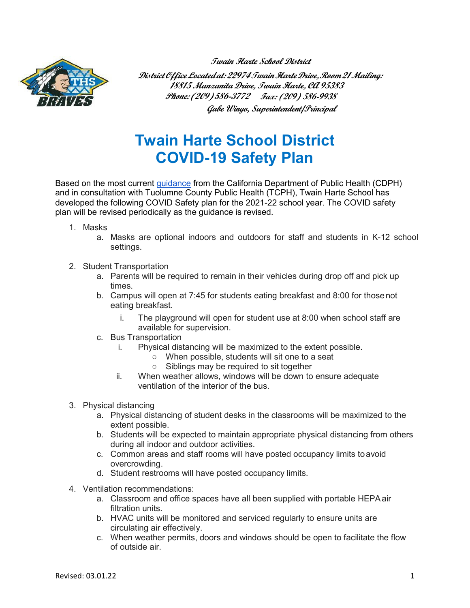**Twain Harte School District**



**DistrictOfficeLocatedat:22974TwainHarteDrive,Room21Mailing: 18815 Manzanita Drive, Twain Harte, CA 95383 Phone: (209) 586-3772 Fax: (209) 586-9938 Gabe Wingo, Superintendent/Principal**

## **Twain Harte School District COVID-19 Safety Plan**

Based on the most current [guidance](https://www.cdph.ca.gov/Programs/CID/DCDC/Pages/COVID-19/K-12-Guidance-2021-22-School-Year.aspx) from the California Department of Public Health (CDPH) and in consultation with Tuolumne County Public Health (TCPH), Twain Harte School has developed the following COVID Safety plan for the 2021-22 school year. The COVID safety plan will be revised periodically as the guidance is revised.

- 1. Masks
	- a. Masks are optional indoors and outdoors for staff and students in K-12 school settings.
- 2. Student Transportation
	- a. Parents will be required to remain in their vehicles during drop off and pick up times.
	- b. Campus will open at 7:45 for students eating breakfast and 8:00 for thosenot eating breakfast.
		- i. The playground will open for student use at 8:00 when school staff are available for supervision.
	- c. Bus Transportation
		- i. Physical distancing will be maximized to the extent possible.
			- When possible, students will sit one to a seat
			- Siblings may be required to sit together
		- ii. When weather allows, windows will be down to ensure adequate ventilation of the interior of the bus.
- 3. Physical distancing
	- a. Physical distancing of student desks in the classrooms will be maximized to the extent possible.
	- b. Students will be expected to maintain appropriate physical distancing from others during all indoor and outdoor activities.
	- c. Common areas and staff rooms will have posted occupancy limits toavoid overcrowding.
	- d. Student restrooms will have posted occupancy limits.
- 4. Ventilation recommendations:
	- a. Classroom and office spaces have all been supplied with portable HEPAair filtration units.
	- b. HVAC units will be monitored and serviced regularly to ensure units are circulating air effectively.
	- c. When weather permits, doors and windows should be open to facilitate the flow of outside air.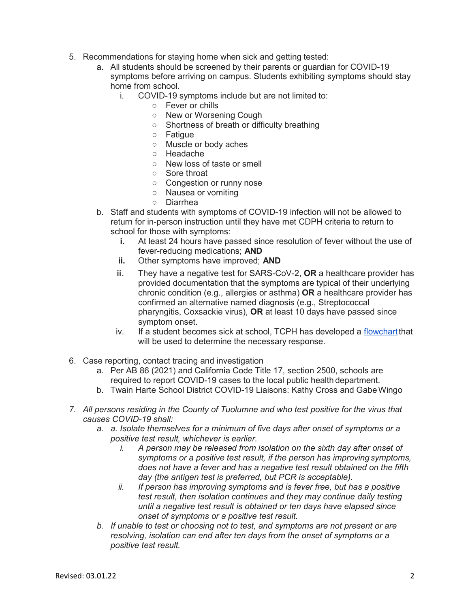- 5. Recommendations for staying home when sick and getting tested:
	- a. All students should be screened by their parents or guardian for COVID-19 symptoms before arriving on campus. Students exhibiting symptoms should stay home from school.
		- i. COVID-19 symptoms include but are not limited to:
			- Fever or chills
			- New or Worsening Cough
			- Shortness of breath or difficulty breathing
			- Fatigue
			- Muscle or body aches
			- Headache
			- New loss of taste or smell
			- Sore throat
			- Congestion or runny nose
			- Nausea or vomiting
			- Diarrhea
	- b. Staff and students with symptoms of COVID-19 infection will not be allowed to return for in-person instruction until they have met CDPH criteria to return to school for those with symptoms:
		- **i.** At least 24 hours have passed since resolution of fever without the use of fever-reducing medications; **AND**
		- **ii.** Other symptoms have improved; **AND**
		- iii. They have a negative test for SARS-CoV-2, **OR** a healthcare provider has provided documentation that the symptoms are typical of their underlying chronic condition (e.g., allergies or asthma) **OR** a healthcare provider has confirmed an alternative named diagnosis (e.g., Streptococcal pharyngitis, Coxsackie virus), **OR** at least 10 days have passed since symptom onset.
		- iv. If a student becomes sick at school, TCPH has developed a [flowchartt](https://drive.google.com/file/d/1gG0Tp9XwYkLTdYi5n5r2FWAg-cpZnQRU/view?usp=sharing)hat will be used to determine the necessary response.
- 6. Case reporting, contact tracing and investigation
	- a. Per AB 86 (2021) and California Code Title 17, section 2500, schools are required to report COVID-19 cases to the local public health department.
	- b. Twain Harte School District COVID-19 Liaisons: Kathy Cross and GabeWingo
- *7. All persons residing in the County of Tuolumne and who test positive for the virus that causes COVID-19 shall:*
	- *a. a. Isolate themselves for a minimum of five days after onset of symptoms or a positive test result, whichever is earlier.*
		- *i. A person may be released from isolation on the sixth day after onset of symptoms or a positive test result, if the person has improving symptoms, does not have a fever and has a negative test result obtained on the fifth day (the antigen test is preferred, but PCR is acceptable).*
		- *ii. If person has improving symptoms and is fever free, but has a positive test result, then isolation continues and they may continue daily testing until a negative test result is obtained or ten days have elapsed since onset of symptoms or a positive test result.*
	- *b. If unable to test or choosing not to test, and symptoms are not present or are resolving, isolation can end after ten days from the onset of symptoms or a positive test result.*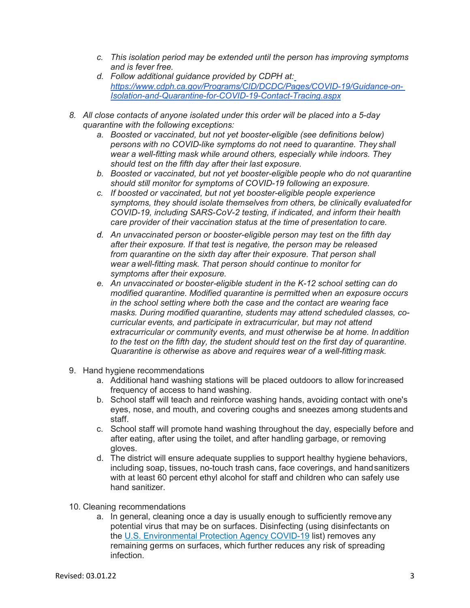- *c. This isolation period may be extended until the person has improving symptoms and is fever free.*
- *d. Follow additional guidance provided by CDPH at: [https://www.cdph.ca.gov/Programs/CID/DCDC/Pages/COVID-19/Guidance-on-](https://www.cdph.ca.gov/Programs/CID/DCDC/Pages/COVID-19/Guidance-on-Isolation-and-Quarantine-for-COVID-19-Contact-Tracing.aspx)[Isolation-and-Quarantine-for-COVID-19-Contact-Tracing.aspx](https://www.cdph.ca.gov/Programs/CID/DCDC/Pages/COVID-19/Guidance-on-Isolation-and-Quarantine-for-COVID-19-Contact-Tracing.aspx)*
- *8. All close contacts of anyone isolated under this order will be placed into a 5-day quarantine with the following exceptions:*
	- *a. Boosted or vaccinated, but not yet booster-eligible (see definitions below) persons with no COVID-like symptoms do not need to quarantine. They shall wear a well-fitting mask while around others, especially while indoors. They should test on the fifth day after their last exposure.*
	- *b. Boosted or vaccinated, but not yet booster-eligible people who do not quarantine should still monitor for symptoms of COVID-19 following an exposure.*
	- *c. If boosted or vaccinated, but not yet booster-eligible people experience symptoms, they should isolate themselves from others, be clinically evaluatedfor COVID-19, including SARS-CoV-2 testing, if indicated, and inform their health care provider of their vaccination status at the time of presentation to care.*
	- *d. An unvaccinated person or booster-eligible person may test on the fifth day after their exposure. If that test is negative, the person may be released from quarantine on the sixth day after their exposure. That person shall wear awell-fitting mask. That person should continue to monitor for symptoms after their exposure.*
	- *e. An unvaccinated or booster-eligible student in the K-12 school setting can do modified quarantine. Modified quarantine is permitted when an exposure occurs in the school setting where both the case and the contact are wearing face masks. During modified quarantine, students may attend scheduled classes, cocurricular events, and participate in extracurricular, but may not attend extracurricular or community events, and must otherwise be at home. Inaddition to the test on the fifth day, the student should test on the first day of quarantine. Quarantine is otherwise as above and requires wear of a well-fitting mask.*
- 9. Hand hygiene recommendations
	- a. Additional hand washing stations will be placed outdoors to allow forincreased frequency of access to hand washing.
	- b. School staff will teach and reinforce washing hands, avoiding contact with one's eyes, nose, and mouth, and covering coughs and sneezes among students and staff.
	- c. School staff will promote hand washing throughout the day, especially before and after eating, after using the toilet, and after handling garbage, or removing gloves.
	- d. The district will ensure adequate supplies to support healthy hygiene behaviors, including soap, tissues, no-touch trash cans, face coverings, and handsanitizers with at least 60 percent ethyl alcohol for staff and children who can safely use hand sanitizer.
- 10. Cleaning recommendations
	- a. In general, cleaning once a day is usually enough to sufficiently removeany potential virus that may be on surfaces. Disinfecting (using disinfectants on the [U.S. Environmental Protection Agency COVID-19](https://www.epa.gov/coronavirus/about-list-n-disinfectants-coronavirus-covid-19-0) list) removes any remaining germs on surfaces, which further reduces any risk of spreading infection.